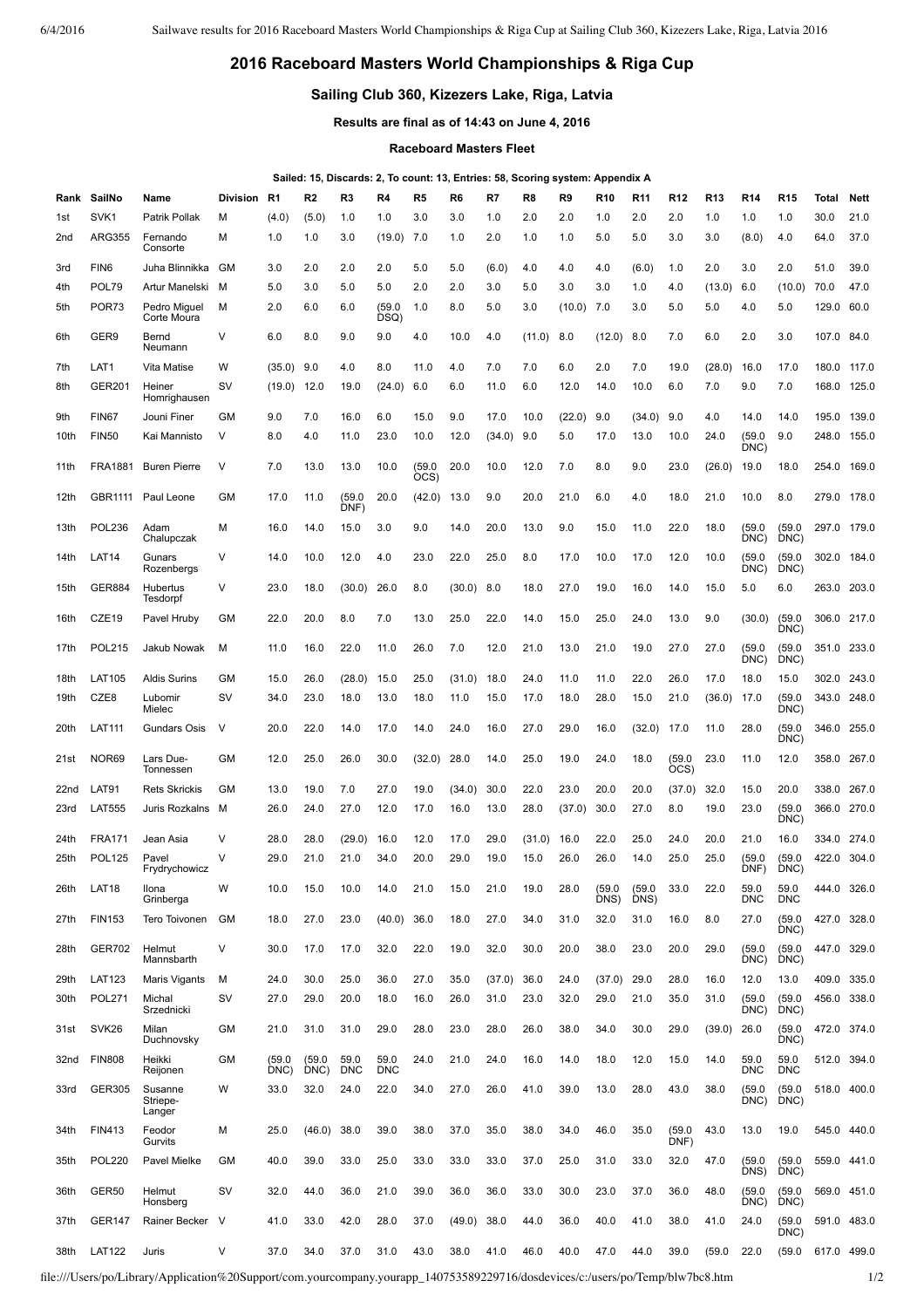## **2016 Raceboard Masters World Championships & Riga Cup**

## **Sailing Club 360, Kizezers Lake, Riga, Latvia**

**Results are final as of 14:43 on June 4, 2016**

**Raceboard Masters Fleet**

## **Sailed: 15, Discards: 2, To count: 13, Entries: 58, Scoring system: Appendix A**

| Rank | SailNo            | Name                          | <b>Division</b> | R <sub>1</sub> | R2             | R3                 | R4                 | R <sub>5</sub> | R6     | R7     | R8     | R9           | R <sub>10</sub> | R <sub>11</sub> | R <sub>12</sub> | <b>R13</b> | <b>R14</b>         | R <sub>15</sub>    | Total       | <b>Nett</b> |
|------|-------------------|-------------------------------|-----------------|----------------|----------------|--------------------|--------------------|----------------|--------|--------|--------|--------------|-----------------|-----------------|-----------------|------------|--------------------|--------------------|-------------|-------------|
| 1st  | SVK <sub>1</sub>  | Patrik Pollak                 | M               | (4.0)          | (5.0)          | 1.0                | 1.0                | 3.0            | 3.0    | 1.0    | 2.0    | 2.0          | 1.0             | 2.0             | 2.0             | 1.0        | 1.0                | 1.0                | 30.0        | 21.0        |
| 2nd  | <b>ARG355</b>     | Fernando<br>Consorte          | M               | 1.0            | 1.0            | 3.0                | (19.0)             | 7.0            | 1.0    | 2.0    | 1.0    | 1.0          | 5.0             | 5.0             | 3.0             | 3.0        | (8.0)              | 4.0                | 64.0        | 37.0        |
| 3rd  | FIN <sub>6</sub>  | Juha Blinnikka                | GM              | 3.0            | 2.0            | 2.0                | 2.0                | 5.0            | 5.0    | (6.0)  | 4.0    | 4.0          | 4.0             | (6.0)           | 1.0             | 2.0        | 3.0                | 2.0                | 51.0        | 39.0        |
| 4th  | POL79             | Artur Manelski                | M               | 5.0            | 3.0            | 5.0                | 5.0                | 2.0            | 2.0    | 3.0    | 5.0    | 3.0          | 3.0             | 1.0             | 4.0             | (13.0)     | 6.0                | (10.0)             | 70.0        | 47.0        |
| 5th  | POR73             | Pedro Miguel<br>Corte Moura   | M               | 2.0            | 6.0            | 6.0                | (59.0)<br>DSQ)     | 1.0            | 8.0    | 5.0    | 3.0    | $(10.0)$ 7.0 |                 | 3.0             | 5.0             | 5.0        | 4.0                | 5.0                | 129.0       | 60.0        |
| 6th  | GER9              | Bernd<br>Neumann              | $\vee$          | 6.0            | 8.0            | 9.0                | 9.0                | 4.0            | 10.0   | 4.0    | (11.0) | 8.0          | (12.0)          | 8.0             | 7.0             | 6.0        | 2.0                | 3.0                | 107.0       | 84.0        |
| 7th  | LAT1              | Vita Matise                   | W               | (35.0)         | 9.0            | 4.0                | 8.0                | 11.0           | 4.0    | 7.0    | 7.0    | 6.0          | 2.0             | 7.0             | 19.0            | (28.0)     | 16.0               | 17.0               | 180.0       | 117.0       |
| 8th  | <b>GER201</b>     | Heiner<br>Homrighausen        | <b>SV</b>       | (19.0)         | 12.0           | 19.0               | (24.0)             | 6.0            | 6.0    | 11.0   | 6.0    | 12.0         | 14.0            | 10.0            | 6.0             | 7.0        | 9.0                | 7.0                | 168.0       | 125.0       |
| 9th  | <b>FIN67</b>      | Jouni Finer                   | <b>GM</b>       | 9.0            | 7.0            | 16.0               | 6.0                | 15.0           | 9.0    | 17.0   | 10.0   | (22.0)       | 9.0             | (34.0)          | 9.0             | 4.0        | 14.0               | 14.0               | 195.0       | 139.0       |
| 10th | <b>FIN50</b>      | Kai Mannisto                  | V               | 8.0            | 4.0            | 11.0               | 23.0               | 10.0           | 12.0   | (34.0) | 9.0    | 5.0          | 17.0            | 13.0            | 10.0            | 24.0       | (59.0)<br>DNC)     | 9.0                | 248.0       | 155.0       |
| 11th | <b>FRA1881</b>    | <b>Buren Pierre</b>           | V               | 7.0            | 13.0           | 13.0               | 10.0               | (59.0)<br>OCS) | 20.0   | 10.0   | 12.0   | 7.0          | 8.0             | 9.0             | 23.0            | (26.0)     | 19.0               | 18.0               | 254.0       | 169.0       |
| 12th | GBR1111           | Paul Leone                    | GM              | 17.0           | 11.0           | (59.0)<br>DNF)     | 20.0               | (42.0)         | 13.0   | 9.0    | 20.0   | 21.0         | 6.0             | 4.0             | 18.0            | 21.0       | 10.0               | 8.0                | 279.0       | 178.0       |
| 13th | <b>POL236</b>     | Adam<br>Chalupczak            | M               | 16.0           | 14.0           | 15.0               | 3.0                | 9.0            | 14.0   | 20.0   | 13.0   | 9.0          | 15.0            | 11.0            | 22.0            | 18.0       | (59.0)<br>DNC)     | (59.0)<br>DNC)     | 297.0       | 179.0       |
| 14th | LAT <sub>14</sub> | Gunars<br>Rozenbergs          | V               | 14.0           | 10.0           | 12.0               | 4.0                | 23.0           | 22.0   | 25.0   | 8.0    | 17.0         | 10.0            | 17.0            | 12.0            | 10.0       | (59.0)<br>DNC)     | (59.0)<br>DNC)     | 302.0       | 184.0       |
| 15th | <b>GER884</b>     | Hubertus<br>Tesdorpf          | V               | 23.0           | 18.0           | (30.0)             | 26.0               | 8.0            | (30.0) | 8.0    | 18.0   | 27.0         | 19.0            | 16.0            | 14.0            | 15.0       | 5.0                | 6.0                | 263.0       | 203.0       |
| 16th | CZE <sub>19</sub> | Pavel Hruby                   | GМ              | 22.0           | 20.0           | 8.0                | 7.0                | 13.0           | 25.0   | 22.0   | 14.0   | 15.0         | 25.0            | 24.0            | 13.0            | 9.0        | (30.0)             | (59.0)<br>DNC)     | 306.0       | 217.0       |
| 17th | <b>POL215</b>     | Jakub Nowak                   | м               | 11.0           | 16.0           | 22.0               | 11.0               | 26.0           | 7.0    | 12.0   | 21.0   | 13.0         | 21.0            | 19.0            | 27.0            | 27.0       | (59.0)<br>DNC)     | (59.0)<br>DNC)     | 351.0       | 233.0       |
| 18th | <b>LAT105</b>     | <b>Aldis Surins</b>           | GM              | 15.0           | 26.0           | (28.0)             | 15.0               | 25.0           | (31.0) | 18.0   | 24.0   | 11.0         | 11.0            | 22.0            | 26.0            | 17.0       | 18.0               | 15.0               | 302.0       | 243.0       |
| 19th | CZE8              | Lubomir<br>Mielec             | sv              | 34.0           | 23.0           | 18.0               | 13.0               | 18.0           | 11.0   | 15.0   | 17.0   | 18.0         | 28.0            | 15.0            | 21.0            | (36.0)     | 17.0               | (59.0)<br>DNC)     | 343.0       | 248.0       |
| 20th | <b>LAT111</b>     | <b>Gundars Osis</b>           | V               | 20.0           | 22.0           | 14.0               | 17.0               | 14.0           | 24.0   | 16.0   | 27.0   | 29.0         | 16.0            | (32.0)          | 17.0            | 11.0       | 28.0               | (59.0)<br>DNC)     | 346.0 255.0 |             |
| 21st | NOR69             | Lars Due-<br>Tonnessen        | GM              | 12.0           | 25.0           | 26.0               | 30.0               | (32.0)         | 28.0   | 14.0   | 25.0   | 19.0         | 24.0            | 18.0            | (59.0)<br>OCS)  | 23.0       | 11.0               | 12.0               | 358.0       | 267.0       |
| 22nd | LAT91             | <b>Rets Skrickis</b>          | GM              | 13.0           | 19.0           | 7.0                | 27.0               | 19.0           | (34.0) | 30.0   | 22.0   | 23.0         | 20.0            | 20.0            | (37.0)          | 32.0       | 15.0               | 20.0               | 338.0       | 267.0       |
| 23rd | <b>LAT555</b>     | Juris Rozkalns                | M               | 26.0           | 24.0           | 27.0               | 12.0               | 17.0           | 16.0   | 13.0   | 28.0   | (37.0)       | 30.0            | 27.0            | 8.0             | 19.0       | 23.0               | (59.0)<br>DNC)     | 366.0       | 270.0       |
| 24th | <b>FRA171</b>     | Jean Asia                     | V               | 28.0           | 28.0           | (29.0)             | 16.0               | 12.0           | 17.0   | 29.0   | (31.0) | 16.0         | 22.0            | 25.0            | 24.0            | 20.0       | 21.0               | 16.0               | 334.0       | 274.0       |
| 25th | <b>POL125</b>     | Pavel<br>Frydrychowicz        | V               | 29.0           | 21.0           | 21.0               | 34.0               | 20.0           | 29.0   | 19.0   | 15.0   | 26.0         | 26.0            | 14.0            | 25.0            | 25.0       | (59.0)<br>DNF)     | (59.0)<br>DNC)     | 422.0       | 304.0       |
| 26th | LAT18             | Ilona<br>Grinberga            | W               | 10.0           | 15.0           | 10.0               | 14.0               | 21.0           | 15.0   | 21.0   | 19.0   | 28.0         | (59.0)<br>DNS)  | (59.0)<br>DNS)  | 33.0            | 22.0       | 59.0<br><b>DNC</b> | 59.0<br><b>DNC</b> | 444.0       | 326.0       |
| 27th | <b>FIN153</b>     | Tero Toivonen                 | GM              | 18.0           | 27.0           | 23.0               | (40.0)             | 36.0           | 18.0   | 27.0   | 34.0   | 31.0         | 32.0            | 31.0            | 16.0            | 8.0        | 27.0               | (59.0)<br>DNC)     | 427.0 328.0 |             |
| 28th | <b>GER702</b>     | Helmut<br>Mannsbarth          | V               | 30.0           | 17.0           | 17.0               | 32.0               | 22.0           | 19.0   | 32.0   | 30.0   | 20.0         | 38.0            | 23.0            | 20.0            | 29.0       | (59.0)<br>DNC)     | (59.0)<br>DNC)     | 447.0 329.0 |             |
| 29th | <b>LAT123</b>     | Maris Vigants                 | м               | 24.0           | 30.0           | 25.0               | 36.0               | 27.0           | 35.0   | (37.0) | 36.0   | 24.0         | (37.0)          | 29.0            | 28.0            | 16.0       | 12.0               | 13.0               |             | 409.0 335.0 |
| 30th | <b>POL271</b>     | Michal<br>Srzednicki          | sv              | 27.0           | 29.0           | 20.0               | 18.0               | 16.0           | 26.0   | 31.0   | 23.0   | 32.0         | 29.0            | 21.0            | 35.0            | 31.0       | (59.0)<br>DNC)     | (59.0)<br>DNC)     |             | 456.0 338.0 |
| 31st | SVK <sub>26</sub> | Milan<br>Duchnovsky           | GM              | 21.0           | 31.0           | 31.0               | 29.0               | 28.0           | 23.0   | 28.0   | 26.0   | 38.0         | 34.0            | 30.0            | 29.0            | (39.0)     | 26.0               | (59.0)<br>DNC)     | 472.0 374.0 |             |
| 32nd | <b>FIN808</b>     | Heikki<br>Reijonen            | GM              | (59.0)<br>DNC) | (59.0)<br>DNC) | 59.0<br><b>DNC</b> | 59.0<br><b>DNC</b> | 24.0           | 21.0   | 24.0   | 16.0   | 14.0         | 18.0            | 12.0            | 15.0            | 14.0       | 59.0<br><b>DNC</b> | 59.0<br><b>DNC</b> | 512.0       | 394.0       |
| 33rd | <b>GER305</b>     | Susanne<br>Striepe-<br>Langer | W               | 33.0           | 32.0           | 24.0               | 22.0               | 34.0           | 27.0   | 26.0   | 41.0   | 39.0         | 13.0            | 28.0            | 43.0            | 38.0       | (59.0)<br>DNC)     | (59.0)<br>DNC)     |             | 518.0 400.0 |
| 34th | <b>FIN413</b>     | Feodor<br>Gurvits             | М               | 25.0           | (46.0)         | 38.0               | 39.0               | 38.0           | 37.0   | 35.0   | 38.0   | 34.0         | 46.0            | 35.0            | (59.0)<br>DNF)  | 43.0       | 13.0               | 19.0               | 545.0       | 440.0       |
| 35th | <b>POL220</b>     | <b>Pavel Mielke</b>           | GM              | 40.0           | 39.0           | 33.0               | 25.0               | 33.0           | 33.0   | 33.0   | 37.0   | 25.0         | 31.0            | 33.0            | 32.0            | 47.0       | (59.0)<br>DNS)     | (59.0)<br>DNC)     |             | 559.0 441.0 |
| 36th | GER50             | Helmut<br>Honsberg            | sv              | 32.0           | 44.0           | 36.0               | 21.0               | 39.0           | 36.0   | 36.0   | 33.0   | 30.0         | 23.0            | 37.0            | 36.0            | 48.0       | (59.0)<br>DNC)     | (59.0)<br>DNC)     |             | 569.0 451.0 |
| 37th | <b>GER147</b>     | Rainer Becker                 | - V             | 41.0           | 33.0           | 42.0               | 28.0               | 37.0           | (49.0) | 38.0   | 44.0   | 36.0         | 40.0            | 41.0            | 38.0            | 41.0       | 24.0               | (59.0)<br>DNC)     |             | 591.0 483.0 |
| 38th | <b>LAT122</b>     | Juris                         | V               | 37.0           | 34.0           | 37.0               | 31.0               | 43.0           | 38.0   | 41.0   | 46.0   | 40.0         | 47.0            | 44.0            | 39.0            | (59.0)     | 22.0               | (59.0)             | 617.0 499.0 |             |

file:///Users/po/Library/Application%20Support/com.yourcompany.yourapp\_140753589229716/dosdevices/c:/users/po/Temp/blw7bc8.htm 1/2